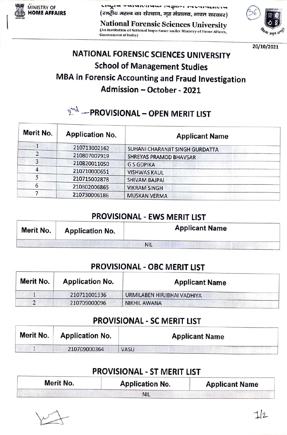

MINISTRY OF NFDU

National Forensic Sciences University (An Institution of Natlonal Importance under Ministry of Home Affalrs, Government of Indla)



20/10/2021

### NATIONAL FORENsIC SCIENCES UNIVERSITY School of Management Studies MBA in Forensic Accounting and Fraud Investigation Admission - October - 2021

## $\mathbb{R}^{n\lambda}$  - PROVISIONAL - OPEN MERIT LIST

| Merit No.      | <b>Application No.</b> | <b>Applicant Name</b>           |  |
|----------------|------------------------|---------------------------------|--|
|                | 210713002162           | SUHANI CHARANJIT SINGH GURDATTA |  |
| $\overline{2}$ | 210807007919           | SHREYAS PRAMOD BHAVSAR          |  |
| 3              | 210820011050           | <b>GS GOPIKA</b>                |  |
|                | 210710000651           | <b>VISHWAS KAUL</b>             |  |
|                | 210715002878           | <b>SHIVAM BAJPAI</b>            |  |
| 6              | 210802006865           | <b>VIKRAM SINGH</b>             |  |
|                | 210730006186           | <b>MUSKAN VERMA</b>             |  |

#### PROVISIONAL - EWS MERIT LIST

| Merit No. | <b>Application No.</b> | <b>Applicant Name</b> |
|-----------|------------------------|-----------------------|
|           |                        | <b>NIL</b>            |

#### PROVISIONAL - OBC MERIT LIST

| Merit No. | <b>Application No.</b> | <b>Applicant Name</b>       |
|-----------|------------------------|-----------------------------|
|           | 210711001336           | URMILABEN HIRJIBHAI VADHIYA |
| 2         | 210709000096           | NIKHIL AWANA                |

#### PROVISIONAL - SC MERIT LIST

| Merit No. | <b>Application No.</b> | <b>Applicant Name</b> |
|-----------|------------------------|-----------------------|
|           | 210709000364           | VASU                  |

#### PROVISIONAL - ST MERIT LIST

| Merit No. | <b>Application No.</b> | <b>Applicant Name</b> |
|-----------|------------------------|-----------------------|
|           | <b>NIL</b>             |                       |